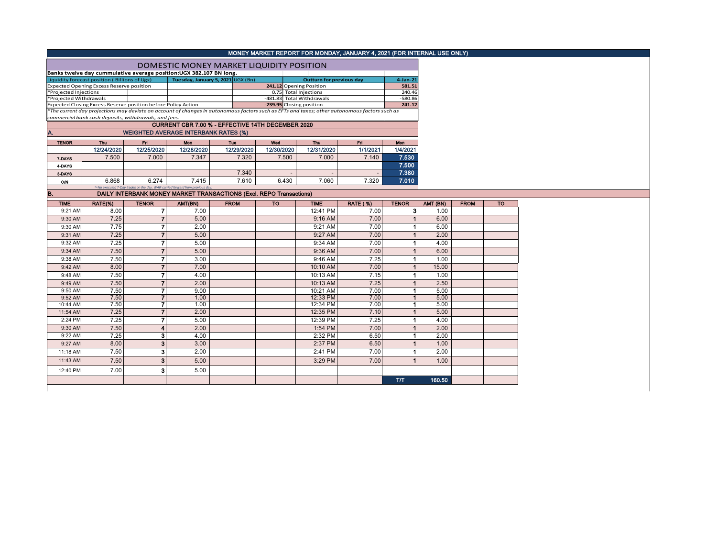|                        |                                                                    |                |                                                                               |                                                                     |            | MONEY MARKET REPORT FOR MONDAY, JANUARY 4, 2021 (FOR INTERNAL USE ONLY)                                                                                                   |                 |                      |          |             |           |
|------------------------|--------------------------------------------------------------------|----------------|-------------------------------------------------------------------------------|---------------------------------------------------------------------|------------|---------------------------------------------------------------------------------------------------------------------------------------------------------------------------|-----------------|----------------------|----------|-------------|-----------|
|                        |                                                                    |                |                                                                               | DOMESTIC MONEY MARKET LIQUIDITY POSITION                            |            |                                                                                                                                                                           |                 |                      |          |             |           |
|                        | Banks twelve day cummulative average position:UGX 382.107 BN long. |                |                                                                               |                                                                     |            |                                                                                                                                                                           |                 |                      |          |             |           |
|                        | Liquidity forecast position (Billions of Ugx)                      |                |                                                                               | Tuesday, January 5, 2021 UGX (Bn)                                   |            | <b>Outturn for previous day</b>                                                                                                                                           |                 | $4$ -Jan-21          |          |             |           |
|                        | Expected Opening Excess Reserve position                           |                |                                                                               |                                                                     |            | 241.12 Opening Position                                                                                                                                                   |                 | 581.51               |          |             |           |
| *Projected Injections  |                                                                    |                |                                                                               |                                                                     |            | 0.75 Total Injections                                                                                                                                                     |                 | 240.46               |          |             |           |
| *Projected Withdrawals |                                                                    |                |                                                                               |                                                                     |            | -481.83 Total Withdrawals                                                                                                                                                 |                 | $-580.86$            |          |             |           |
|                        | Expected Closing Excess Reserve position before Policy Action      |                |                                                                               |                                                                     |            | -239.95 Closing position<br>*The current day projections may deviate on account of changes in autonomous factors such as EFTs and taxes; other autonomous factors such as |                 | 241.12               |          |             |           |
|                        | commercial bank cash deposits, withdrawals, and fees.              |                |                                                                               |                                                                     |            |                                                                                                                                                                           |                 |                      |          |             |           |
|                        |                                                                    |                |                                                                               | CURRENT CBR 7.00 % - EFFECTIVE 14TH DECEMBER 2020                   |            |                                                                                                                                                                           |                 |                      |          |             |           |
| A.                     |                                                                    |                | <b>WEIGHTED AVERAGE INTERBANK RATES (%)</b>                                   |                                                                     |            |                                                                                                                                                                           |                 |                      |          |             |           |
|                        |                                                                    |                |                                                                               |                                                                     |            |                                                                                                                                                                           |                 |                      |          |             |           |
| <b>TENOR</b>           | Thu                                                                | Fn.            | Mon                                                                           | Tue                                                                 | Wed        | Thu                                                                                                                                                                       | Fri             | Mon                  |          |             |           |
|                        | 12/24/2020                                                         | 12/25/2020     | 12/28/2020                                                                    | 12/29/2020                                                          | 12/30/2020 | 12/31/2020                                                                                                                                                                | 1/1/2021        | 1/4/2021             |          |             |           |
| 7-DAYS                 | 7.500                                                              | 7.000          | 7.347                                                                         | 7.320                                                               | 7.500      | 7.000                                                                                                                                                                     | 7.140           | 7.530                |          |             |           |
| 4-DAYS                 |                                                                    |                |                                                                               |                                                                     |            |                                                                                                                                                                           |                 | 7.500                |          |             |           |
| 3-DAYS                 |                                                                    |                |                                                                               | 7.340                                                               |            |                                                                                                                                                                           |                 | 7.380                |          |             |           |
| <b>O/N</b>             | 6.868                                                              | 6.274          | 7.415                                                                         | 7.610                                                               | 6.430      | 7.060                                                                                                                                                                     | 7.320           | 7.010                |          |             |           |
| B.                     |                                                                    |                | *=No executed 7-Day trades on the day. WAR carried forward from previous day. | DAILY INTERBANK MONEY MARKET TRANSACTIONS (Excl. REPO Transactions) |            |                                                                                                                                                                           |                 |                      |          |             |           |
|                        |                                                                    |                |                                                                               |                                                                     |            |                                                                                                                                                                           |                 |                      |          |             |           |
| <b>TIME</b>            | RATE(%)                                                            | <b>TENOR</b>   | AMT(BN)                                                                       | <b>FROM</b>                                                         | <b>TO</b>  | <b>TIME</b>                                                                                                                                                               | <b>RATE (%)</b> | <b>TENOR</b>         | AMT (BN) | <b>FROM</b> | <b>TO</b> |
| 9:21 AM                | 8.00                                                               | 7              | 7.00                                                                          |                                                                     |            | 12:41 PM                                                                                                                                                                  | 7.00            | 3                    | 1.00     |             |           |
| 9:30 AM                | 7.25                                                               | $\overline{7}$ | 5.00                                                                          |                                                                     |            | $9:16$ AM                                                                                                                                                                 | 7.00            | $\overline{1}$       | 6.00     |             |           |
| 9:30 AM                | 7.75                                                               | 7              | 2.00                                                                          |                                                                     |            | 9:21 AM                                                                                                                                                                   | 7.00            | 1                    | 6.00     |             |           |
| 9:31 AM                | 7.25                                                               | 7              | 5.00                                                                          |                                                                     |            | 9:27 AM                                                                                                                                                                   | 7.00            |                      | 2.00     |             |           |
| 9:32 AM                | 7.25                                                               | 7              | 5.00                                                                          |                                                                     |            | 9:34 AM                                                                                                                                                                   | 7.00            | $\overline{1}$       | 4.00     |             |           |
| 9:34 AM                | 7.50                                                               | $\overline{7}$ | 5.00                                                                          |                                                                     |            | 9:36 AM                                                                                                                                                                   | 7.00            | $\overline{1}$       | 6.00     |             |           |
| 9:38 AM                | 7.50                                                               | 7              | 3.00                                                                          |                                                                     |            | 9:46 AM                                                                                                                                                                   | 7.25            | $\blacktriangleleft$ | 1.00     |             |           |
| 9:42 AM                | 8.00                                                               | $\overline{7}$ | 7.00                                                                          |                                                                     |            | 10:10 AM                                                                                                                                                                  | 7.00            | $\blacktriangleleft$ | 15.00    |             |           |
| 9:48 AM                | 7.50                                                               | 7              | 4.00                                                                          |                                                                     |            | 10:13 AM                                                                                                                                                                  | 7.15            | $\blacktriangleleft$ | 1.00     |             |           |
| 9:49 AM                | 7.50                                                               | $\overline{7}$ | 2.00                                                                          |                                                                     |            | 10:13 AM                                                                                                                                                                  | 7.25            | $\overline{1}$       | 2.50     |             |           |
| 9:50 AM                | 7.50                                                               | 7              | 9.00                                                                          |                                                                     |            | 10:21 AM                                                                                                                                                                  | 7.00            | $\blacktriangleleft$ | 5.00     |             |           |
| 9:52 AM                | 7.50                                                               | $\overline{7}$ | 1.00                                                                          |                                                                     |            | 12:33 PM                                                                                                                                                                  | 7.00            | $\blacktriangleleft$ | 5.00     |             |           |
| 10:44 AM               | 7.50                                                               | 7              | 1.00                                                                          |                                                                     |            | 12:34 PM                                                                                                                                                                  | 7.00            | $\mathbf 1$          | 5.00     |             |           |
| 11:54 AM               | 7.25                                                               | $\overline{7}$ | 2.00                                                                          |                                                                     |            | 12:35 PM                                                                                                                                                                  | 7.10            |                      | 5.00     |             |           |
| 2:24 PM                | 7.25                                                               | 7              | 5.00                                                                          |                                                                     |            | 12:39 PM                                                                                                                                                                  | 7.25            | $\blacktriangleleft$ | 4.00     |             |           |
| 9:30 AM                | 7.50                                                               | 4              | 2.00                                                                          |                                                                     |            | 1:54 PM                                                                                                                                                                   | 7.00            | $\overline{1}$       | 2.00     |             |           |
| 9:22 AM                | 7.25                                                               | 3              | 4.00                                                                          |                                                                     |            | 2:32 PM                                                                                                                                                                   | 6.50            | 1                    | 2.00     |             |           |
| 9:27 AM                | 8.00                                                               | 3              | 3.00                                                                          |                                                                     |            | 2:37 PM                                                                                                                                                                   | 6.50            | $\overline{1}$       | 1.00     |             |           |
| 11:18 AM               | 7.50                                                               | 3              | 2.00                                                                          |                                                                     |            | 2:41 PM                                                                                                                                                                   | 7.00            | $\mathbf{1}$         | 2.00     |             |           |
| 11:43 AM               | 7.50                                                               | 3              | 5.00                                                                          |                                                                     |            | 3:29 PM                                                                                                                                                                   | 7.00            | $\overline{1}$       | 1.00     |             |           |
|                        |                                                                    |                |                                                                               |                                                                     |            |                                                                                                                                                                           |                 |                      |          |             |           |
| 12:40 PM               | 7.00                                                               | 3              | 5.00                                                                          |                                                                     |            |                                                                                                                                                                           |                 |                      |          |             |           |
|                        |                                                                    |                |                                                                               |                                                                     |            |                                                                                                                                                                           |                 | <b>T/T</b>           | 160,50   |             |           |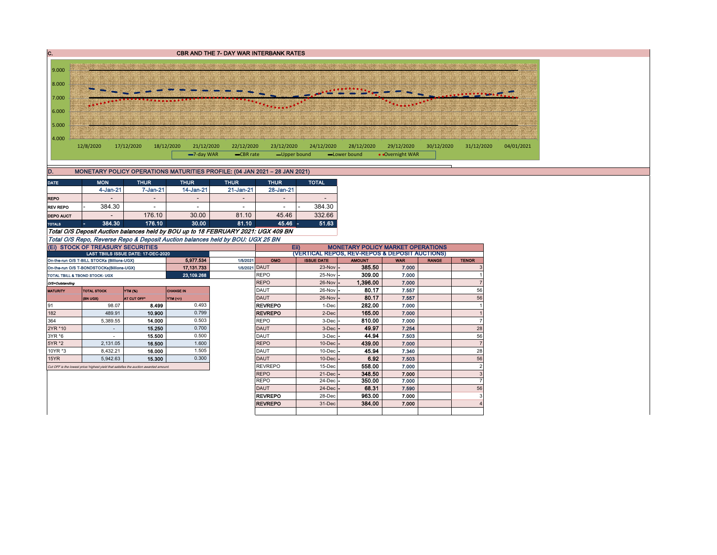

| MONETARY POLICY OPERATIONS MATURITIES PROFILE: (04 JAN 2021 - 28 JAN 2021) |
|----------------------------------------------------------------------------|
|----------------------------------------------------------------------------|

| <b>THUR</b><br><b>MON</b><br><b>THUR</b><br><b>TOTAL</b><br><b>THUR</b><br><b>THUR</b><br><b>DATE</b> |        |        |       |       |       |       |  |  |  |  |  |  |  |
|-------------------------------------------------------------------------------------------------------|--------|--------|-------|-------|-------|-------|--|--|--|--|--|--|--|
| 14-Jan-21<br>21-Jan-21<br>4-Jan-21<br>$7 - Jan-21$<br>28-Jan-21                                       |        |        |       |       |       |       |  |  |  |  |  |  |  |
| <b>REPO</b><br>-<br>$\overline{\phantom{a}}$<br>-                                                     |        |        |       |       |       |       |  |  |  |  |  |  |  |
| 384.30<br>384.30<br><b>REV REPO</b><br>$\overline{\phantom{a}}$                                       |        |        |       |       |       |       |  |  |  |  |  |  |  |
| 332.66<br>176.10<br>81.10<br>30.00<br>45.46<br><b>DEPO AUCT</b>                                       |        |        |       |       |       |       |  |  |  |  |  |  |  |
| <b>TOTALS</b>                                                                                         | 384.30 | 176.10 | 30.00 | 81.10 | 45.46 | 51.63 |  |  |  |  |  |  |  |
| Total O/S Deposit Auction balances held by BOU up to 18 FEBRUARY 2021: UGX 409 BN                     |        |        |       |       |       |       |  |  |  |  |  |  |  |

Total O/S Repo, Reverse Repo & Deposit Auction balances held by BOU: UGX 25 BN

|                                                                      | (EI) STOCK OF TREASURY SECURITIES                                                     |                                     |            |               | <b>MONETARY POLICY MARKET OPERATIONS</b><br>EII) |                     |               |            |              |                |  |  |  |  |
|----------------------------------------------------------------------|---------------------------------------------------------------------------------------|-------------------------------------|------------|---------------|--------------------------------------------------|---------------------|---------------|------------|--------------|----------------|--|--|--|--|
|                                                                      |                                                                                       | LAST TBIILS ISSUE DATE: 17-DEC-2020 |            |               | (VERTICAL REPOS, REV-REPOS & DEPOSIT AUCTIONS)   |                     |               |            |              |                |  |  |  |  |
|                                                                      | On-the-run O/S T-BILL STOCKs (Billions-UGX)                                           |                                     | 5.977.534  | 1/5/2021      | OMO                                              | <b>ISSUE DATE</b>   | <b>AMOUNT</b> | <b>WAR</b> | <b>RANGE</b> | <b>TENOR</b>   |  |  |  |  |
|                                                                      | On-the-run O/S T-BONDSTOCKs(Billions-UGX)                                             |                                     | 17.131.733 | 1/5/2021 DAUT |                                                  | $23-Nov$ –          | 385.50        | 7.000      |              | 3              |  |  |  |  |
|                                                                      | TOTAL TBILL & TBOND STOCK- UGX                                                        |                                     | 23,109.268 |               | <b>REPO</b>                                      | $25-Nov -$          | 309.00        | 7.000      |              |                |  |  |  |  |
| O/S=Outstanding                                                      |                                                                                       |                                     |            |               | <b>REPO</b>                                      | $26$ -Nov $-$       | 1.396.00      | 7.000      |              | $\overline{7}$ |  |  |  |  |
| <b>TOTAL STOCK</b><br>YTM (%)<br><b>CHANGE IN</b><br><b>MATURITY</b> |                                                                                       |                                     |            |               | DAUT                                             | $26$ -Nov $-$       | 80.17         | 7.557      |              | 56             |  |  |  |  |
|                                                                      | (BN UGX)                                                                              | AT CUT OFF*                         | YTM (+/-)  |               | <b>DAUT</b>                                      | 26-Nov              | 80.17         | 7.557      |              | 56             |  |  |  |  |
| 91                                                                   | 98.07                                                                                 | 8.499                               | 0.493      |               | <b>REVREPO</b>                                   | 1-Dec               | 282.00        | 7.000      |              |                |  |  |  |  |
| 182<br>0.799<br>489.91<br>10.900                                     |                                                                                       |                                     |            |               | <b>REVREPO</b>                                   | 2-Dec               | 165.00        | 7.000      |              |                |  |  |  |  |
| 364                                                                  | 5,389.55                                                                              | 14.000                              | 0.503      |               | <b>REPO</b>                                      | $3$ -Dec $ -$       | 810.00        | 7.000      |              | $\overline{7}$ |  |  |  |  |
| 2YR *10                                                              |                                                                                       | 15.250                              | 0.700      |               | <b>DAUT</b>                                      | $3$ -Dec $ -$       | 49.97         | 7.254      |              | 28             |  |  |  |  |
| 0.500<br>3YR *6<br>15.500                                            |                                                                                       |                                     |            |               | DAUT                                             | $3$ -Dec $ -$       | 44.94         | 7.503      |              | 56             |  |  |  |  |
| 5YR *2                                                               | 2,131.05                                                                              | 16.500                              | 1.600      |               | <b>REPO</b>                                      | $10$ -Dec $-$       | 439.00        | 7.000      |              | $\overline{7}$ |  |  |  |  |
| 10YR *3                                                              | 8,432.21                                                                              | 16.000                              | 1.505      |               | <b>DAUT</b>                                      | $10$ -Dec $-$       | 45.94         | 7.340      |              | 28             |  |  |  |  |
| 15YR                                                                 | 5.942.63                                                                              | 15,300                              | 0.300      |               | <b>DAUT</b>                                      | $10$ -Dec $\vert$ - | 6.92          | 7.503      |              | 56             |  |  |  |  |
|                                                                      | Cut OFF is the lowest price/ highest vield that satisfies the auction awarded amount. |                                     |            |               | <b>REVREPO</b>                                   | 15-Dec              | 558.00        | 7.000      |              | $\overline{2}$ |  |  |  |  |
|                                                                      |                                                                                       |                                     |            |               | <b>REPO</b>                                      | $21$ -Dec $-$       | 348.50        | 7.000      |              | 3              |  |  |  |  |
|                                                                      |                                                                                       |                                     |            |               | <b>REPO</b>                                      | $24$ -Dec $-$       | 350.00        | 7.000      |              | $\overline{7}$ |  |  |  |  |
|                                                                      |                                                                                       |                                     |            |               | <b>DAUT</b>                                      | $24$ -Dec $-$       | 68.31         | 7.590      |              | 56             |  |  |  |  |
|                                                                      |                                                                                       |                                     |            |               | <b>REVREPO</b>                                   | 28-Dec              | 963.00        | 7.000      |              | 3              |  |  |  |  |
|                                                                      |                                                                                       |                                     |            |               | <b>REVREPO</b>                                   | 31-Dec              | 384.00        | 7.000      |              |                |  |  |  |  |
|                                                                      |                                                                                       |                                     |            |               |                                                  |                     |               |            |              |                |  |  |  |  |